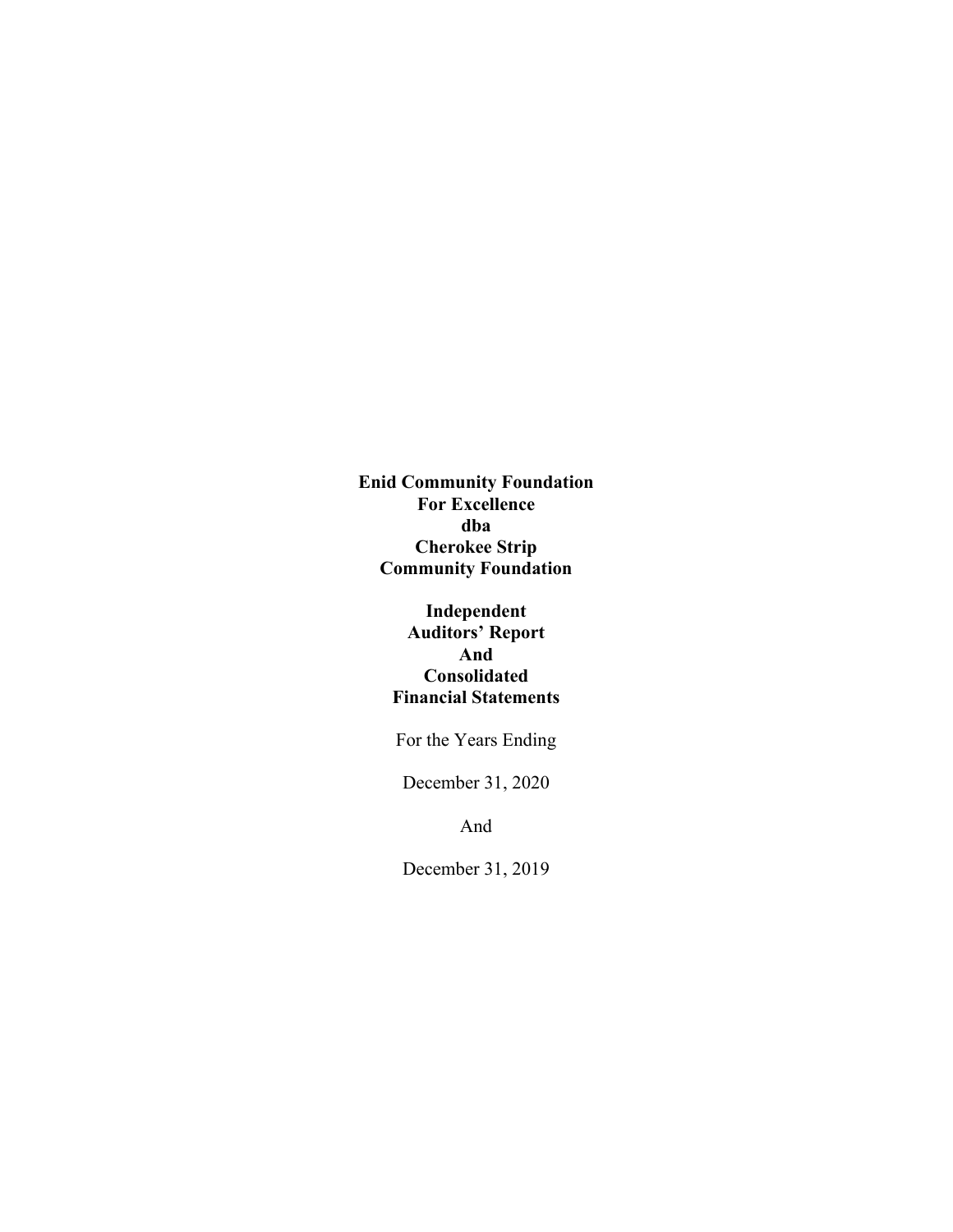**Enid Community Foundation For Excellence dba Cherokee Strip Community Foundation** 

# **Independent Auditors' Report And Consolidated Financial Statements**

For the Years Ending

December 31, 2020

And

December 31, 2019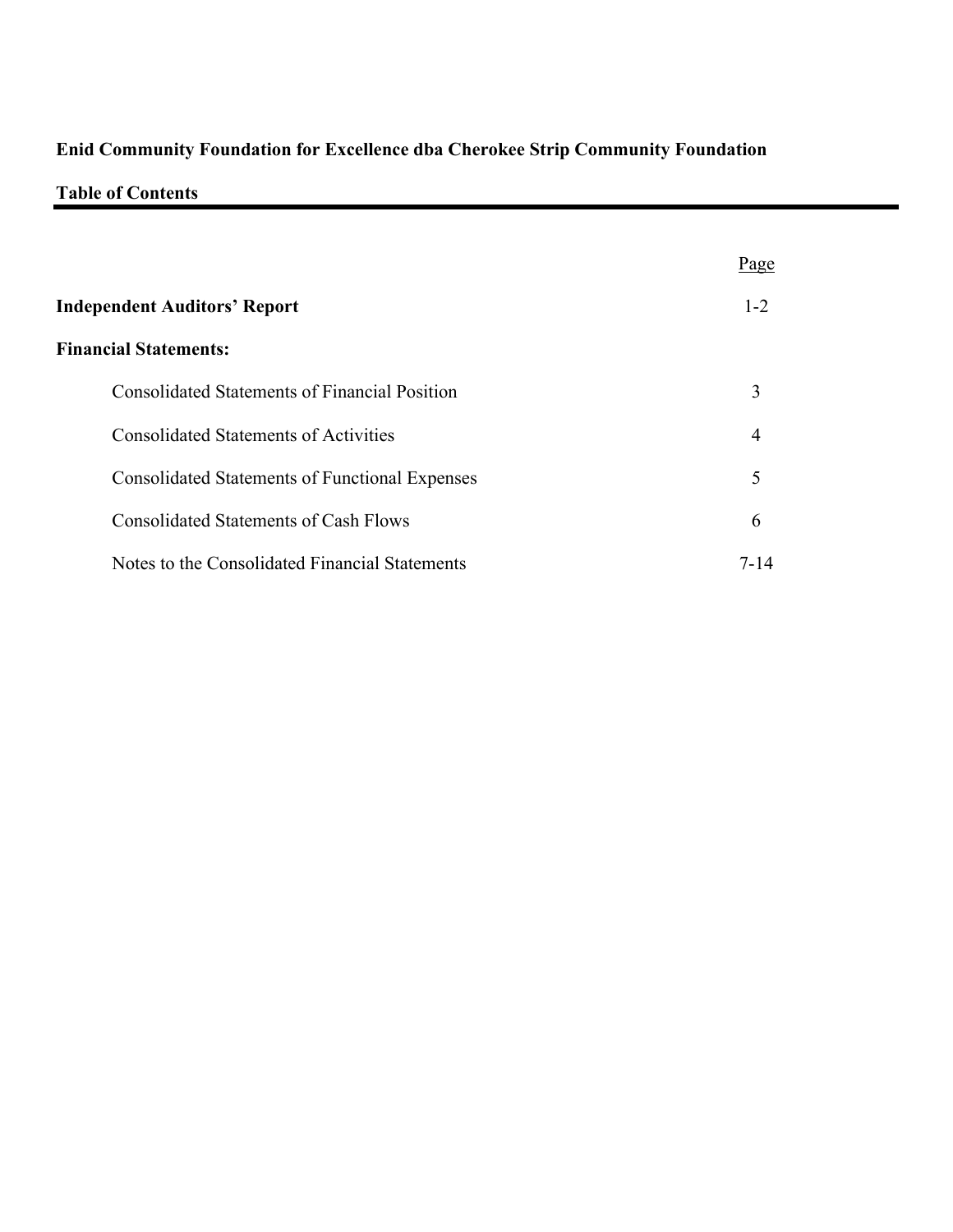# **Enid Community Foundation for Excellence dba Cherokee Strip Community Foundation Table of Contents**

|                                                       | Page           |  |  |  |
|-------------------------------------------------------|----------------|--|--|--|
| <b>Independent Auditors' Report</b>                   |                |  |  |  |
| <b>Financial Statements:</b>                          |                |  |  |  |
| <b>Consolidated Statements of Financial Position</b>  | 3              |  |  |  |
| <b>Consolidated Statements of Activities</b>          | $\overline{4}$ |  |  |  |
| <b>Consolidated Statements of Functional Expenses</b> | 5              |  |  |  |
| Consolidated Statements of Cash Flows                 | 6              |  |  |  |
| Notes to the Consolidated Financial Statements        | 7-14           |  |  |  |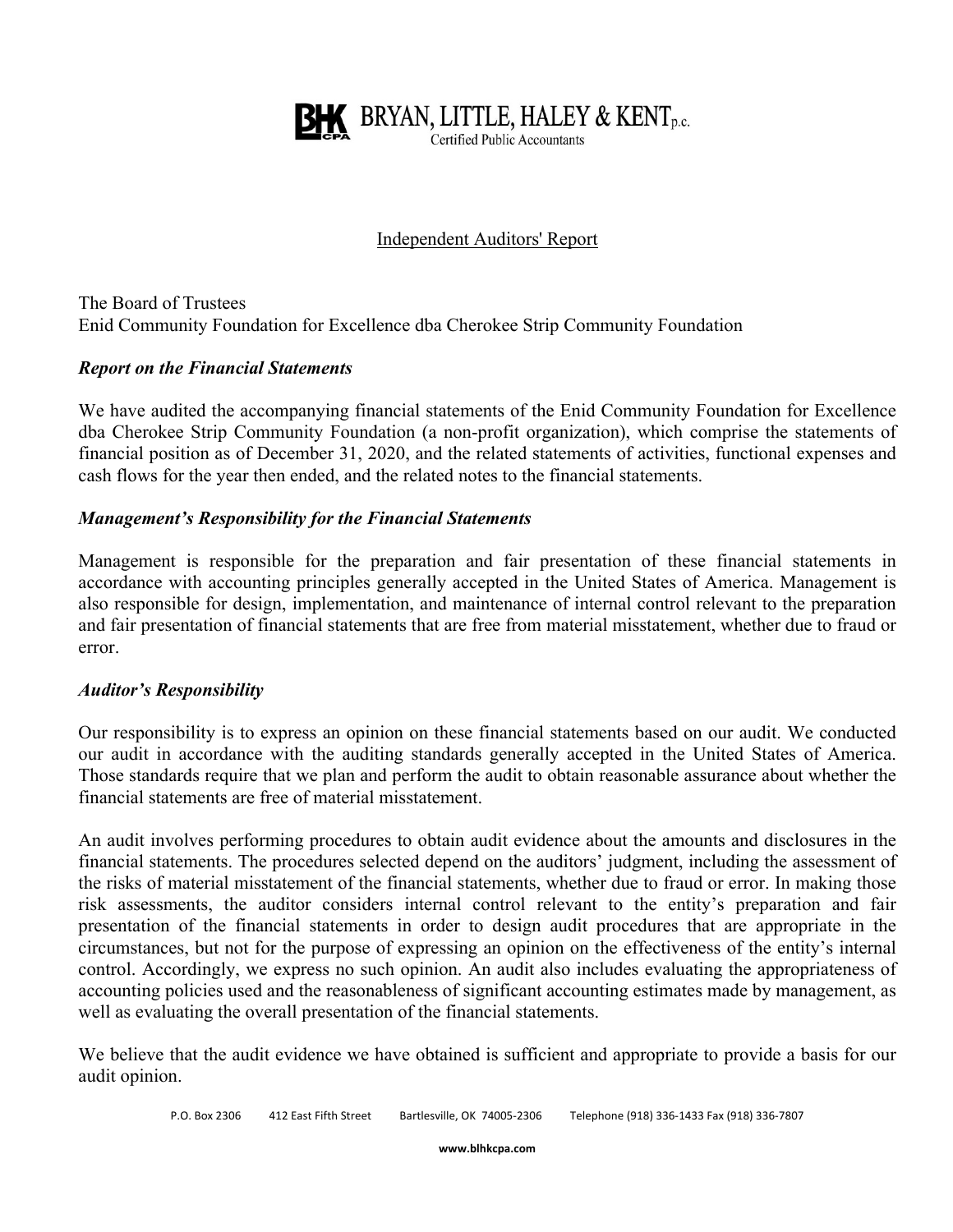

# Independent Auditors' Report

The Board of Trustees Enid Community Foundation for Excellence dba Cherokee Strip Community Foundation

## *Report on the Financial Statements*

We have audited the accompanying financial statements of the Enid Community Foundation for Excellence dba Cherokee Strip Community Foundation (a non-profit organization), which comprise the statements of financial position as of December 31, 2020, and the related statements of activities, functional expenses and cash flows for the year then ended, and the related notes to the financial statements.

## *Management's Responsibility for the Financial Statements*

Management is responsible for the preparation and fair presentation of these financial statements in accordance with accounting principles generally accepted in the United States of America. Management is also responsible for design, implementation, and maintenance of internal control relevant to the preparation and fair presentation of financial statements that are free from material misstatement, whether due to fraud or error.

## *Auditor's Responsibility*

Our responsibility is to express an opinion on these financial statements based on our audit. We conducted our audit in accordance with the auditing standards generally accepted in the United States of America. Those standards require that we plan and perform the audit to obtain reasonable assurance about whether the financial statements are free of material misstatement.

An audit involves performing procedures to obtain audit evidence about the amounts and disclosures in the financial statements. The procedures selected depend on the auditors' judgment, including the assessment of the risks of material misstatement of the financial statements, whether due to fraud or error. In making those risk assessments, the auditor considers internal control relevant to the entity's preparation and fair presentation of the financial statements in order to design audit procedures that are appropriate in the circumstances, but not for the purpose of expressing an opinion on the effectiveness of the entity's internal control. Accordingly, we express no such opinion. An audit also includes evaluating the appropriateness of accounting policies used and the reasonableness of significant accounting estimates made by management, as well as evaluating the overall presentation of the financial statements.

We believe that the audit evidence we have obtained is sufficient and appropriate to provide a basis for our audit opinion.

**www.blhkcpa.com**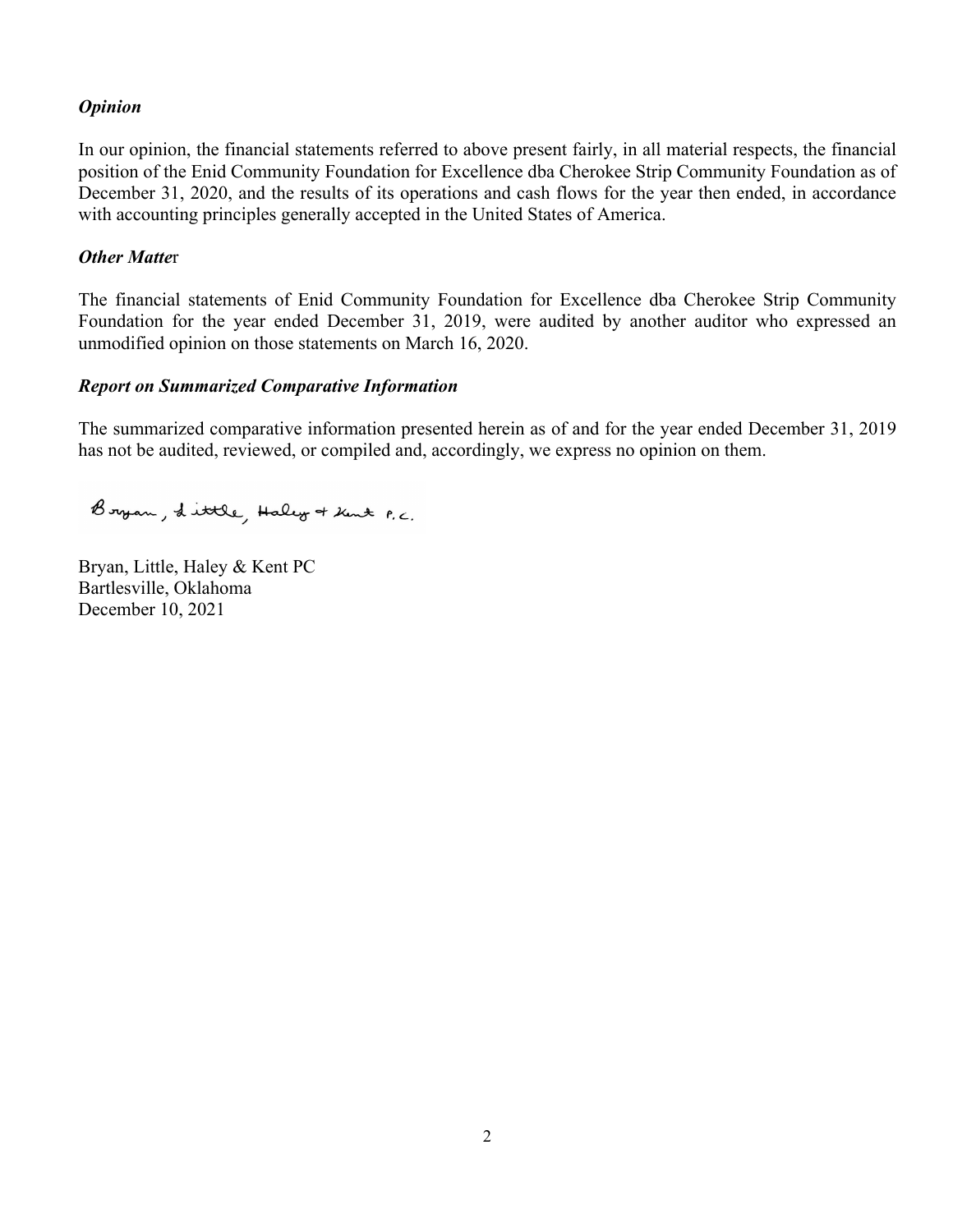# *Opinion*

In our opinion, the financial statements referred to above present fairly, in all material respects, the financial position of the Enid Community Foundation for Excellence dba Cherokee Strip Community Foundation as of December 31, 2020, and the results of its operations and cash flows for the year then ended, in accordance with accounting principles generally accepted in the United States of America.

## *Other Matte*r

The financial statements of Enid Community Foundation for Excellence dba Cherokee Strip Community Foundation for the year ended December 31, 2019, were audited by another auditor who expressed an unmodified opinion on those statements on March 16, 2020.

# *Report on Summarized Comparative Information*

The summarized comparative information presented herein as of and for the year ended December 31, 2019 has not be audited, reviewed, or compiled and, accordingly, we express no opinion on them.

Borgan, dittle, Haley + Kent P.C.

Bryan, Little, Haley & Kent PC Bartlesville, Oklahoma December 10, 2021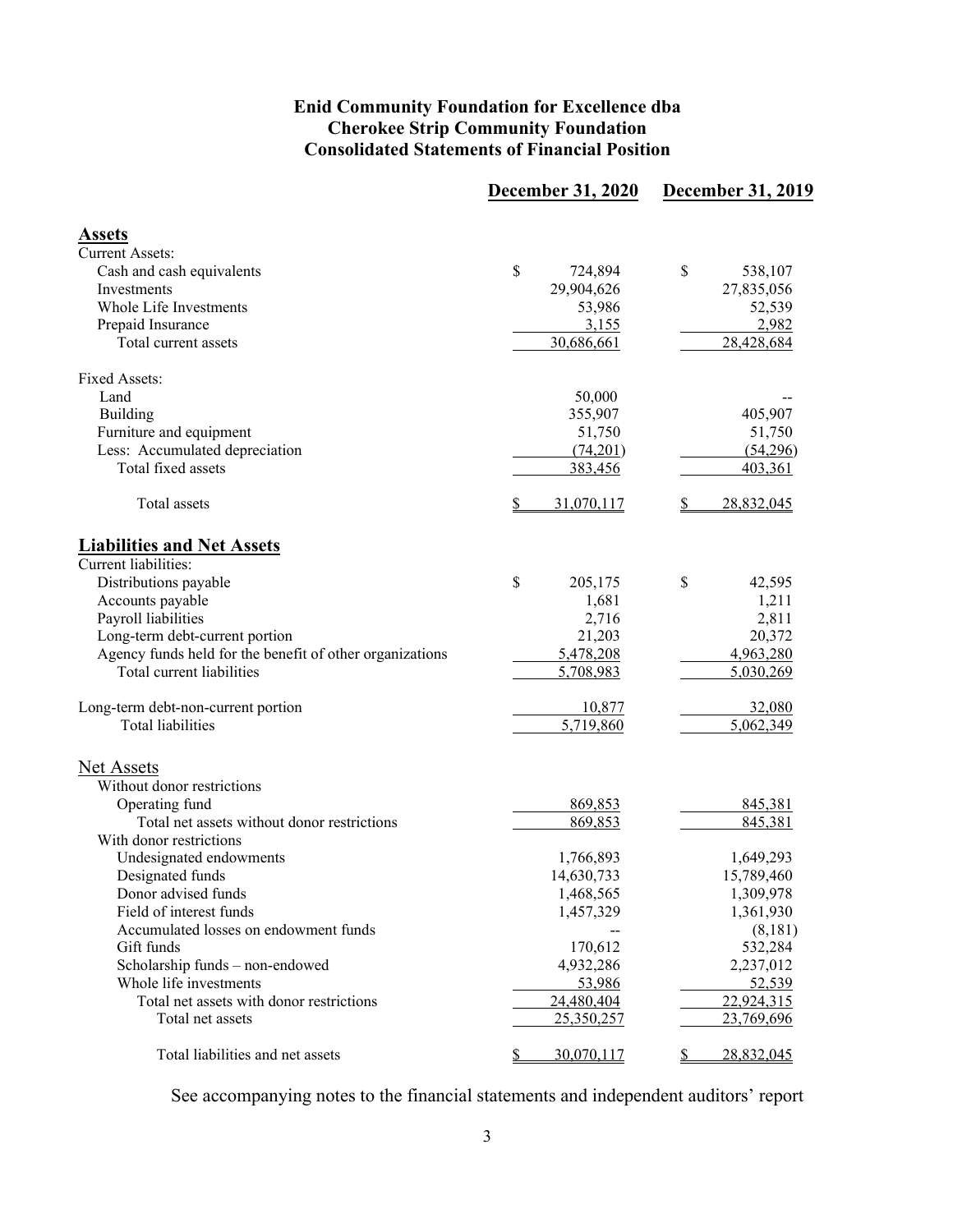# **Enid Community Foundation for Excellence dba Cherokee Strip Community Foundation Consolidated Statements of Financial Position**

|                                                          | <b>December 31, 2020</b> | December 31, 2019 |
|----------------------------------------------------------|--------------------------|-------------------|
| <b>Assets</b>                                            |                          |                   |
| <b>Current Assets:</b>                                   |                          |                   |
| Cash and cash equivalents                                | \$<br>724,894            | \$<br>538,107     |
| Investments                                              | 29,904,626               | 27,835,056        |
| Whole Life Investments                                   | 53,986                   | 52,539            |
| Prepaid Insurance                                        | 3,155                    | 2,982             |
| Total current assets                                     | 30,686,661               | 28,428,684        |
| <b>Fixed Assets:</b>                                     |                          |                   |
| Land                                                     | 50,000                   |                   |
| Building                                                 | 355,907                  | 405,907           |
| Furniture and equipment                                  | 51,750                   | 51,750            |
| Less: Accumulated depreciation                           | (74,201)                 | (54,296)          |
| Total fixed assets                                       | 383,456                  | 403,361           |
| Total assets                                             | 31,070,117<br>\$         | 28,832,045        |
| <b>Liabilities and Net Assets</b>                        |                          |                   |
| Current liabilities:                                     |                          |                   |
| Distributions payable                                    | \$<br>205,175            | \$<br>42,595      |
| Accounts payable                                         | 1,681                    | 1,211             |
| Payroll liabilities                                      | 2,716                    | 2,811             |
| Long-term debt-current portion                           | 21,203                   | 20,372            |
| Agency funds held for the benefit of other organizations | 5,478,208                | 4,963,280         |
| Total current liabilities                                | 5,708,983                | 5,030,269         |
| Long-term debt-non-current portion                       | 10,877                   | 32,080            |
| Total liabilities                                        | 5,719,860                | 5,062,349         |
| Net Assets                                               |                          |                   |
| Without donor restrictions                               |                          |                   |
| Operating fund                                           | 869,853                  | 845,381           |
| Total net assets without donor restrictions              | 869,853                  | 845,381           |
| With donor restrictions                                  |                          |                   |
| Undesignated endowments                                  | 1,766,893                | 1,649,293         |
| Designated funds                                         | 14,630,733               | 15,789,460        |
| Donor advised funds                                      | 1,468,565                | 1,309,978         |
| Field of interest funds                                  | 1,457,329                | 1,361,930         |
| Accumulated losses on endowment funds                    |                          | (8,181)           |
| Gift funds                                               | 170,612                  | 532,284           |
| Scholarship funds - non-endowed                          | 4,932,286                | 2,237,012         |
| Whole life investments                                   | 53,986                   | 52,539            |
| Total net assets with donor restrictions                 | 24,480,404               | 22,924,315        |
| Total net assets                                         | 25,350,257               | 23,769,696        |
| Total liabilities and net assets                         | 30,070,117<br>S          | 28,832,045<br>S   |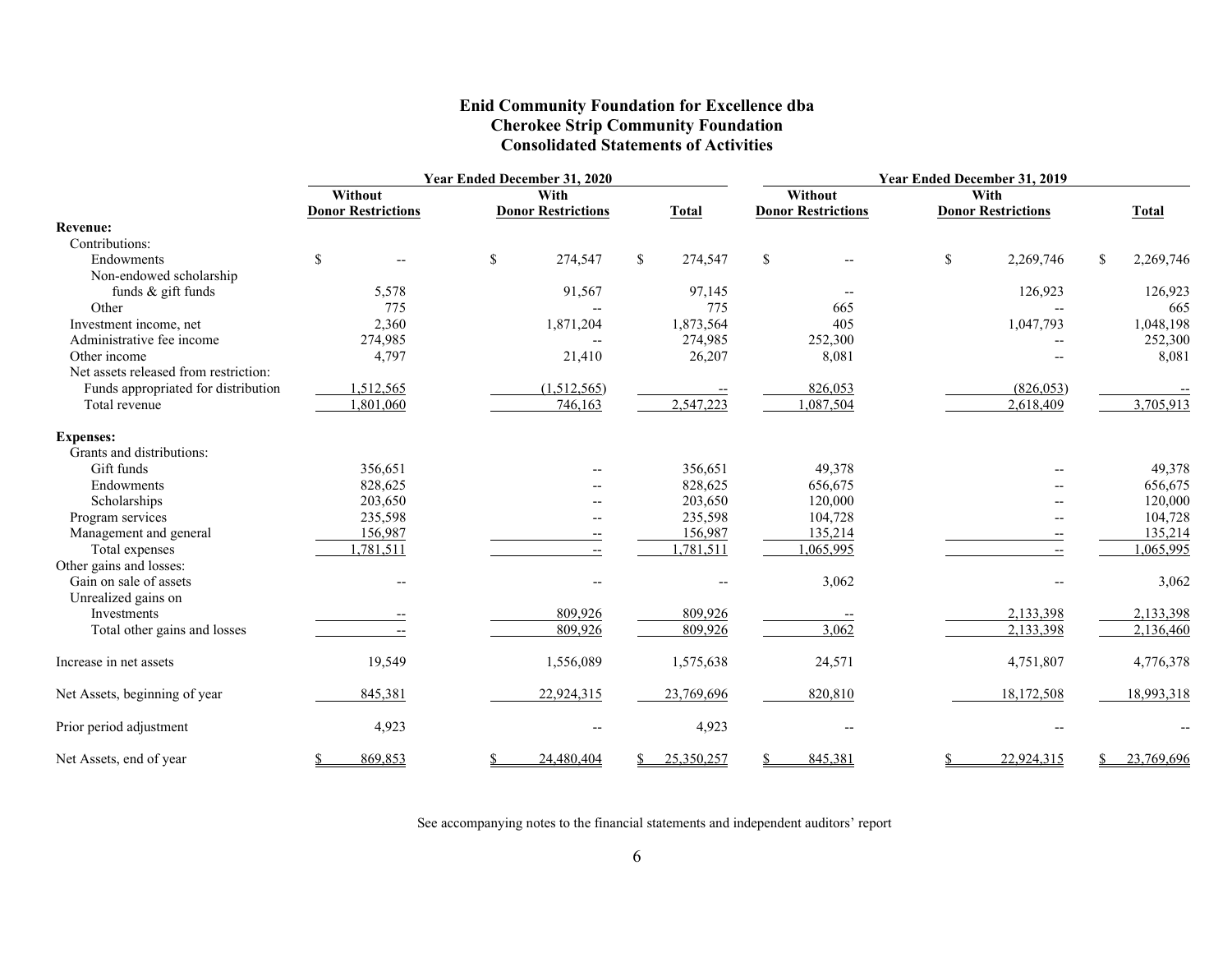#### **Enid Community Foundation for Excellence dba Cherokee Strip Community Foundation Consolidated Statements of Activities**

|                                       |                           | <b>Year Ended December 31, 2020</b> |               | Year Ended December 31, 2019 |                           |                           |  |  |
|---------------------------------------|---------------------------|-------------------------------------|---------------|------------------------------|---------------------------|---------------------------|--|--|
|                                       | Without                   | With                                |               | Without                      | With                      |                           |  |  |
| Revenue:                              | <b>Donor Restrictions</b> | <b>Donor Restrictions</b>           | <b>Total</b>  | <b>Donor Restrictions</b>    | <b>Donor Restrictions</b> | <b>Total</b>              |  |  |
| Contributions:                        |                           |                                     |               |                              |                           |                           |  |  |
| Endowments                            | $\mathbb{S}$              | $\mathbb{S}$<br>274,547             | \$<br>274,547 | \$                           | S.<br>2,269,746           | $\mathbb{S}$<br>2,269,746 |  |  |
| Non-endowed scholarship               |                           |                                     |               |                              |                           |                           |  |  |
| funds & gift funds                    | 5,578                     | 91,567                              | 97,145        |                              | 126,923                   | 126,923                   |  |  |
| Other                                 | 775                       |                                     | 775           | 665                          |                           | 665                       |  |  |
| Investment income, net                | 2,360                     | 1,871,204                           | 1,873,564     | 405                          | 1,047,793                 | 1,048,198                 |  |  |
| Administrative fee income             | 274,985                   |                                     | 274,985       | 252,300                      |                           | 252,300                   |  |  |
| Other income                          | 4,797                     | 21,410                              | 26,207        | 8,081                        |                           | 8,081                     |  |  |
| Net assets released from restriction: |                           |                                     |               |                              |                           |                           |  |  |
| Funds appropriated for distribution   | 1,512,565                 | (1,512,565)                         |               | 826,053                      | (826, 053)                |                           |  |  |
| Total revenue                         | 1,801,060                 | 746,163                             | 2,547,223     | 1,087,504                    | 2,618,409                 | 3,705,913                 |  |  |
| <b>Expenses:</b>                      |                           |                                     |               |                              |                           |                           |  |  |
| Grants and distributions:             |                           |                                     |               |                              |                           |                           |  |  |
| Gift funds                            | 356,651                   |                                     | 356,651       | 49,378                       |                           | 49,378                    |  |  |
| Endowments                            | 828,625                   |                                     | 828,625       | 656,675                      |                           | 656,675                   |  |  |
| Scholarships                          | 203,650                   |                                     | 203,650       | 120,000                      |                           | 120,000                   |  |  |
| Program services                      | 235,598                   |                                     | 235,598       | 104,728                      | $\overline{a}$            | 104,728                   |  |  |
| Management and general                | 156,987                   |                                     | 156,987       | 135,214                      | $\overline{\phantom{m}}$  | 135,214                   |  |  |
| Total expenses                        | .781,511                  | $--$                                | .781,511      | ,065,995                     | $\overline{\phantom{a}}$  | .065.995                  |  |  |
| Other gains and losses:               |                           |                                     |               |                              |                           |                           |  |  |
| Gain on sale of assets                | $- -$                     | $\overline{\phantom{a}}$            | $-$           | 3,062                        | $\overline{\phantom{a}}$  | 3,062                     |  |  |
| Unrealized gains on                   |                           |                                     |               |                              |                           |                           |  |  |
| Investments                           |                           | 809.926                             | 809.926       |                              | 2.133.398                 | 2.133.398                 |  |  |
| Total other gains and losses          |                           | 809,926                             | 809,926       | 3,062                        | 2,133,398                 | 2,136,460                 |  |  |
| Increase in net assets                | 19,549                    | 1,556,089                           | 1,575,638     | 24,571                       | 4,751,807                 | 4,776,378                 |  |  |
| Net Assets, beginning of year         | 845,381                   | 22,924,315                          | 23,769,696    | 820,810                      | 18,172,508                | 18,993,318                |  |  |
| Prior period adjustment               | 4,923                     |                                     | 4,923         |                              |                           |                           |  |  |
| Net Assets, end of year               | 869,853                   | 24,480,404                          | 25,350,257    | 845,381                      | 22,924,315                | 23,769,696                |  |  |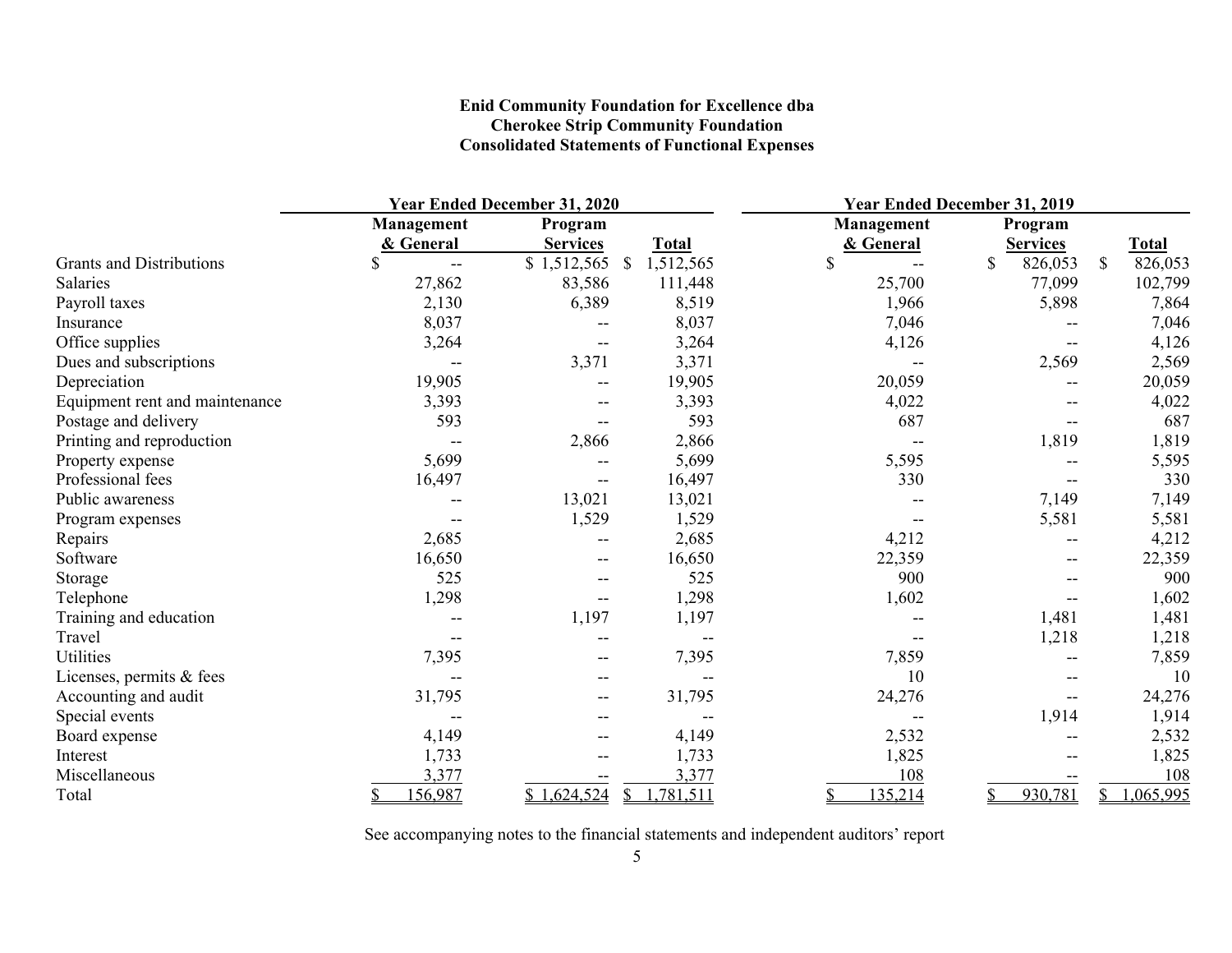## **Enid Community Foundation for Excellence dba Cherokee Strip Community Foundation Consolidated Statements of Functional Expenses**

|                                 | <b>Year Ended December 31, 2020</b> |                          |                  |               | <b>Year Ended December 31, 2019</b> |               |  |  |  |
|---------------------------------|-------------------------------------|--------------------------|------------------|---------------|-------------------------------------|---------------|--|--|--|
|                                 | Management                          | Program                  |                  | Management    | Program                             |               |  |  |  |
|                                 | & General                           | <b>Services</b>          | <b>Total</b>     | & General     | <b>Services</b>                     | Total         |  |  |  |
| <b>Grants and Distributions</b> | S<br>$- -$                          | \$1,512,565<br>- \$      | 1,512,565        | \$            | \$<br>826,053                       | 826,053<br>\$ |  |  |  |
| <b>Salaries</b>                 | 27,862                              | 83,586                   | 111,448          | 25,700        | 77,099                              | 102,799       |  |  |  |
| Payroll taxes                   | 2,130                               | 6,389                    | 8,519            | 1,966         | 5,898                               | 7,864         |  |  |  |
| Insurance                       | 8,037                               |                          | 8,037            | 7,046         |                                     | 7,046         |  |  |  |
| Office supplies                 | 3,264                               |                          | 3,264            | 4,126         |                                     | 4,126         |  |  |  |
| Dues and subscriptions          | $-$                                 | 3,371                    | 3,371            |               | 2,569                               | 2,569         |  |  |  |
| Depreciation                    | 19,905                              | --                       | 19,905           | 20,059        |                                     | 20,059        |  |  |  |
| Equipment rent and maintenance  | 3,393                               |                          | 3,393            | 4,022         |                                     | 4,022         |  |  |  |
| Postage and delivery            | 593                                 |                          | 593              | 687           |                                     | 687           |  |  |  |
| Printing and reproduction       | --                                  | 2,866                    | 2,866            |               | 1,819                               | 1,819         |  |  |  |
| Property expense                | 5,699                               | --                       | 5,699            | 5,595         |                                     | 5,595         |  |  |  |
| Professional fees               | 16,497                              | $-\!$ $\!-$              | 16,497           | 330           |                                     | 330           |  |  |  |
| Public awareness                |                                     | 13,021                   | 13,021           |               | 7,149                               | 7,149         |  |  |  |
| Program expenses                | --                                  | 1,529                    | 1,529            |               | 5,581                               | 5,581         |  |  |  |
| Repairs                         | 2,685                               | --                       | 2,685            | 4,212         |                                     | 4,212         |  |  |  |
| Software                        | 16,650                              | $- -$                    | 16,650           | 22,359        |                                     | 22,359        |  |  |  |
| Storage                         | 525                                 | --                       | 525              | 900           |                                     | 900           |  |  |  |
| Telephone                       | 1,298                               | $\overline{\phantom{m}}$ | 1,298            | 1,602         |                                     | 1,602         |  |  |  |
| Training and education          |                                     | 1,197                    | 1,197            |               | 1,481                               | 1,481         |  |  |  |
| Travel                          | $-$                                 |                          |                  |               | 1,218                               | 1,218         |  |  |  |
| <b>Utilities</b>                | 7,395                               |                          | 7,395            | 7,859         |                                     | 7,859         |  |  |  |
| Licenses, permits & fees        |                                     |                          |                  | 10            |                                     | 10            |  |  |  |
| Accounting and audit            | 31,795                              | --                       | 31,795           | 24,276        |                                     | 24,276        |  |  |  |
| Special events                  |                                     |                          |                  |               | 1,914                               | 1,914         |  |  |  |
| Board expense                   | 4,149                               | --                       | 4,149            | 2,532         |                                     | 2,532         |  |  |  |
| Interest                        | 1,733                               | --                       | 1,733            | 1,825         |                                     | 1,825         |  |  |  |
| Miscellaneous                   | 3,377                               |                          | 3,377            | 108           |                                     | 108           |  |  |  |
| Total                           | 156,987<br>S                        | \$1,624,524              | 1,781,511<br>\$. | 135,214<br>\$ | 930,781                             | .065,995      |  |  |  |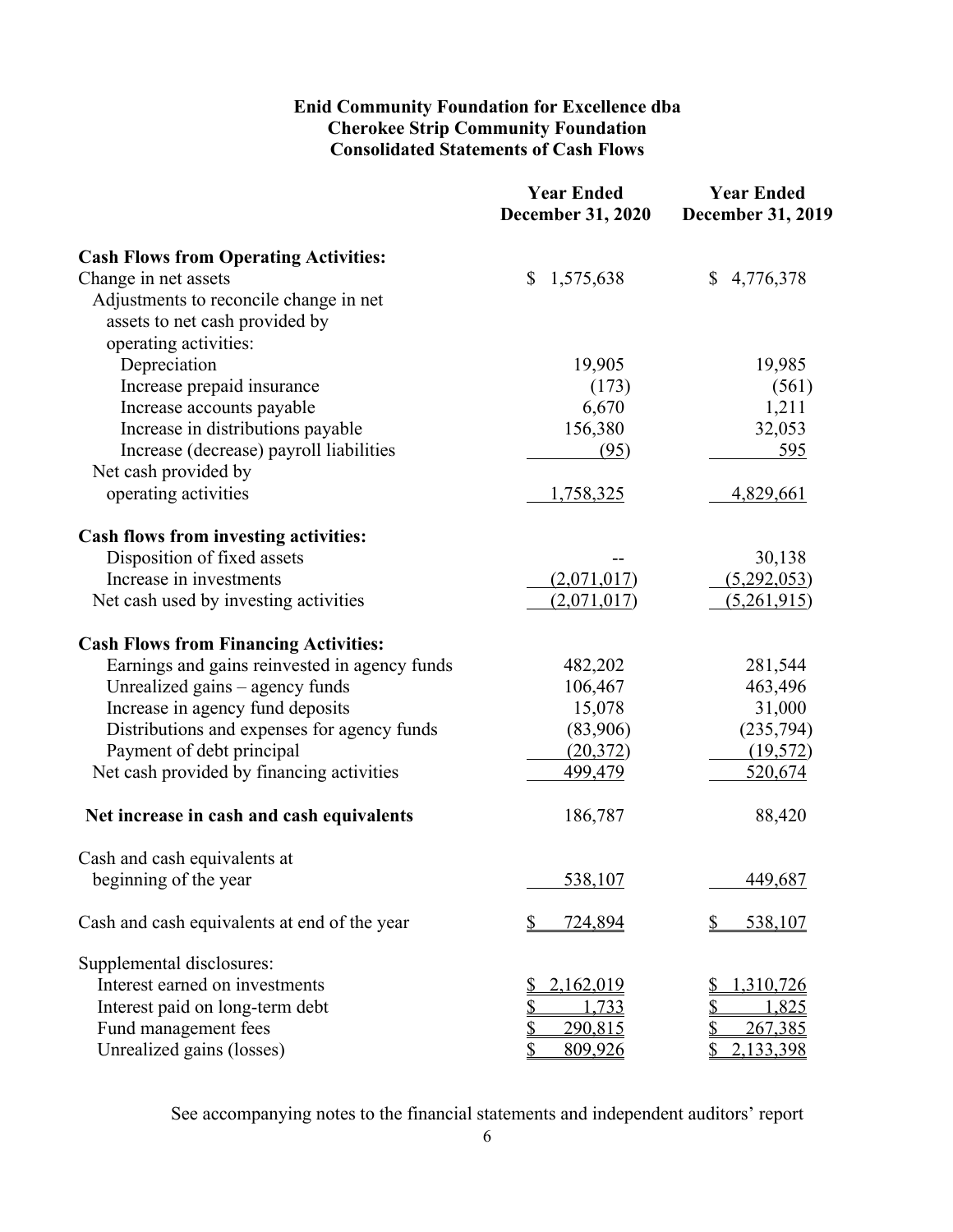# **Enid Community Foundation for Excellence dba Cherokee Strip Community Foundation Consolidated Statements of Cash Flows**

|                                               | <b>Year Ended</b><br><b>December 31, 2020</b> | <b>Year Ended</b><br><b>December 31, 2019</b> |
|-----------------------------------------------|-----------------------------------------------|-----------------------------------------------|
| <b>Cash Flows from Operating Activities:</b>  |                                               |                                               |
| Change in net assets                          | 1,575,638<br>$\mathbb{S}$                     | \$<br>4,776,378                               |
| Adjustments to reconcile change in net        |                                               |                                               |
| assets to net cash provided by                |                                               |                                               |
| operating activities:                         |                                               |                                               |
| Depreciation                                  | 19,905                                        | 19,985                                        |
| Increase prepaid insurance                    | (173)                                         | (561)                                         |
| Increase accounts payable                     | 6,670                                         | 1,211                                         |
| Increase in distributions payable             | 156,380                                       | 32,053                                        |
| Increase (decrease) payroll liabilities       | (95)                                          | 595                                           |
| Net cash provided by                          |                                               |                                               |
| operating activities                          | 1,758,325                                     | 4,829,661                                     |
| Cash flows from investing activities:         |                                               |                                               |
| Disposition of fixed assets                   |                                               | 30,138                                        |
| Increase in investments                       | (2,071,017)                                   | (5,292,053)                                   |
| Net cash used by investing activities         | (2,071,017)                                   | (5,261,915)                                   |
| <b>Cash Flows from Financing Activities:</b>  |                                               |                                               |
| Earnings and gains reinvested in agency funds | 482,202                                       | 281,544                                       |
| Unrealized gains – agency funds               | 106,467                                       | 463,496                                       |
| Increase in agency fund deposits              | 15,078                                        | 31,000                                        |
| Distributions and expenses for agency funds   | (83,906)                                      | (235,794)                                     |
| Payment of debt principal                     | (20, 372)                                     | (19, 572)                                     |
| Net cash provided by financing activities     | 499,479                                       | 520,674                                       |
| Net increase in cash and cash equivalents     | 186,787                                       | 88,420                                        |
| Cash and cash equivalents at                  |                                               |                                               |
| beginning of the year                         | 538,107                                       | 449,687                                       |
| Cash and cash equivalents at end of the year  | \$<br>724,894                                 | $\mathbf{\underline{\$}}$<br>538,107          |
| Supplemental disclosures:                     |                                               |                                               |
| Interest earned on investments                | 2,162,019                                     | 1,310,726                                     |
| Interest paid on long-term debt               | \$<br>1,733                                   | 1,825                                         |
| Fund management fees                          | <u>\$</u><br>290,815                          | 267,385                                       |
| Unrealized gains (losses)                     | \$<br>809,926                                 | 2,133,398                                     |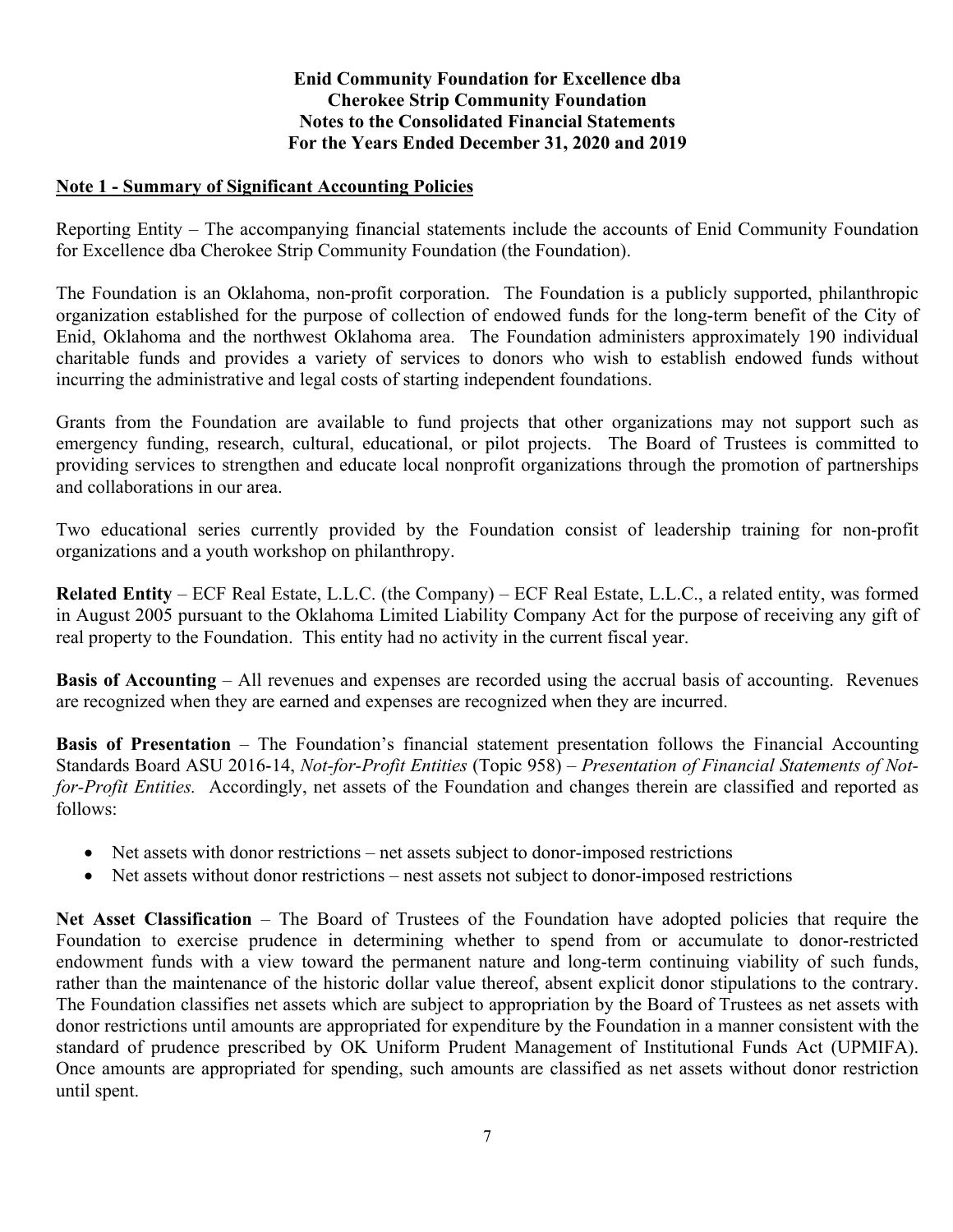# **Note 1 - Summary of Significant Accounting Policies**

Reporting Entity – The accompanying financial statements include the accounts of Enid Community Foundation for Excellence dba Cherokee Strip Community Foundation (the Foundation).

The Foundation is an Oklahoma, non-profit corporation. The Foundation is a publicly supported, philanthropic organization established for the purpose of collection of endowed funds for the long-term benefit of the City of Enid, Oklahoma and the northwest Oklahoma area. The Foundation administers approximately 190 individual charitable funds and provides a variety of services to donors who wish to establish endowed funds without incurring the administrative and legal costs of starting independent foundations.

Grants from the Foundation are available to fund projects that other organizations may not support such as emergency funding, research, cultural, educational, or pilot projects. The Board of Trustees is committed to providing services to strengthen and educate local nonprofit organizations through the promotion of partnerships and collaborations in our area.

Two educational series currently provided by the Foundation consist of leadership training for non-profit organizations and a youth workshop on philanthropy.

**Related Entity** – ECF Real Estate, L.L.C. (the Company) – ECF Real Estate, L.L.C., a related entity, was formed in August 2005 pursuant to the Oklahoma Limited Liability Company Act for the purpose of receiving any gift of real property to the Foundation. This entity had no activity in the current fiscal year.

**Basis of Accounting** – All revenues and expenses are recorded using the accrual basis of accounting. Revenues are recognized when they are earned and expenses are recognized when they are incurred.

**Basis of Presentation** – The Foundation's financial statement presentation follows the Financial Accounting Standards Board ASU 2016-14, *Not-for-Profit Entities* (Topic 958) – *Presentation of Financial Statements of Notfor-Profit Entities.* Accordingly, net assets of the Foundation and changes therein are classified and reported as follows:

- Net assets with donor restrictions net assets subject to donor-imposed restrictions
- Net assets without donor restrictions nest assets not subject to donor-imposed restrictions

**Net Asset Classification** – The Board of Trustees of the Foundation have adopted policies that require the Foundation to exercise prudence in determining whether to spend from or accumulate to donor-restricted endowment funds with a view toward the permanent nature and long-term continuing viability of such funds, rather than the maintenance of the historic dollar value thereof, absent explicit donor stipulations to the contrary. The Foundation classifies net assets which are subject to appropriation by the Board of Trustees as net assets with donor restrictions until amounts are appropriated for expenditure by the Foundation in a manner consistent with the standard of prudence prescribed by OK Uniform Prudent Management of Institutional Funds Act (UPMIFA). Once amounts are appropriated for spending, such amounts are classified as net assets without donor restriction until spent.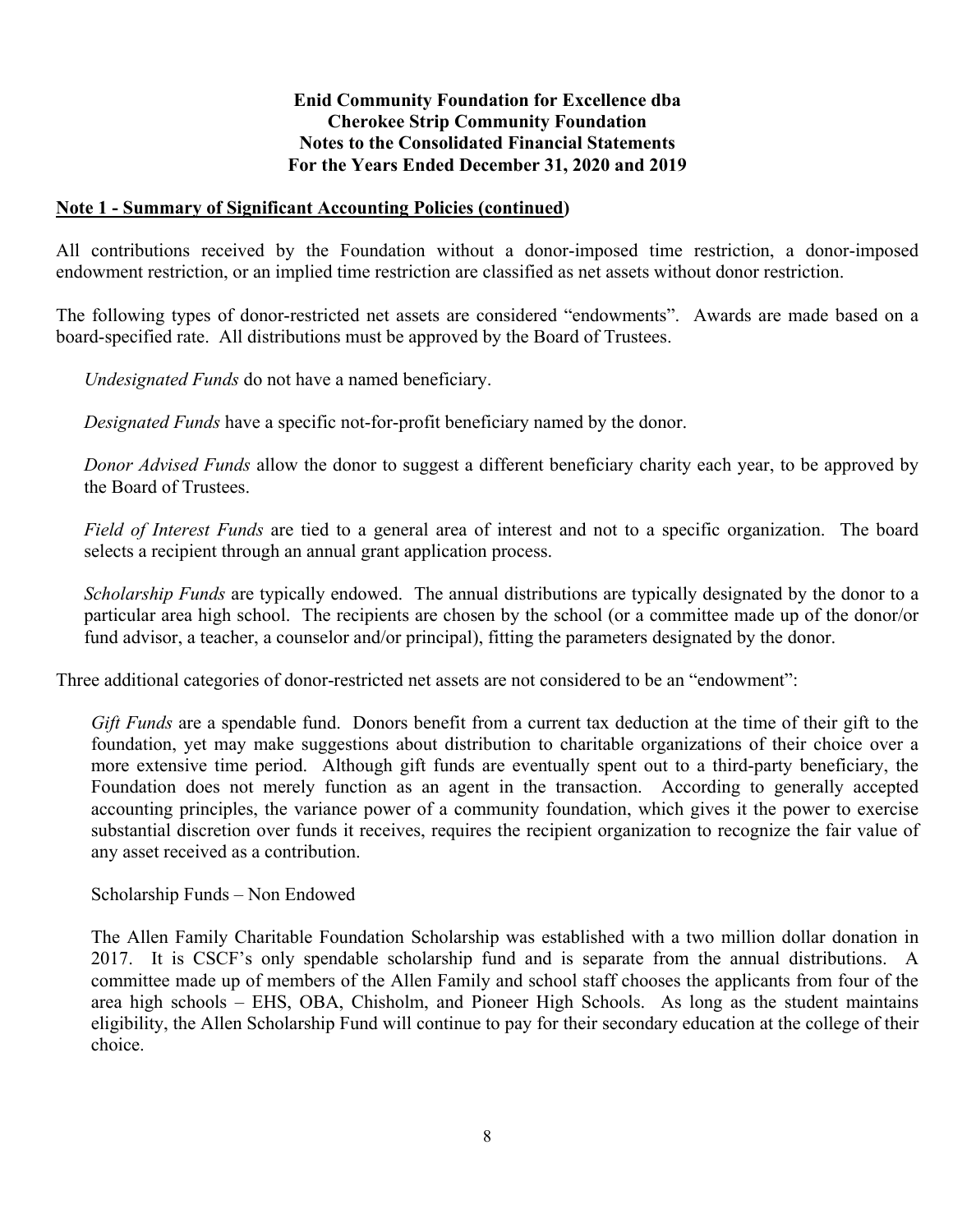## **Note 1 - Summary of Significant Accounting Policies (continued)**

All contributions received by the Foundation without a donor-imposed time restriction, a donor-imposed endowment restriction, or an implied time restriction are classified as net assets without donor restriction.

The following types of donor-restricted net assets are considered "endowments". Awards are made based on a board-specified rate. All distributions must be approved by the Board of Trustees.

*Undesignated Funds* do not have a named beneficiary.

*Designated Funds* have a specific not-for-profit beneficiary named by the donor.

*Donor Advised Funds* allow the donor to suggest a different beneficiary charity each year, to be approved by the Board of Trustees.

*Field of Interest Funds* are tied to a general area of interest and not to a specific organization. The board selects a recipient through an annual grant application process.

*Scholarship Funds* are typically endowed. The annual distributions are typically designated by the donor to a particular area high school. The recipients are chosen by the school (or a committee made up of the donor/or fund advisor, a teacher, a counselor and/or principal), fitting the parameters designated by the donor.

Three additional categories of donor-restricted net assets are not considered to be an "endowment":

*Gift Funds* are a spendable fund. Donors benefit from a current tax deduction at the time of their gift to the foundation, yet may make suggestions about distribution to charitable organizations of their choice over a more extensive time period. Although gift funds are eventually spent out to a third-party beneficiary, the Foundation does not merely function as an agent in the transaction. According to generally accepted accounting principles, the variance power of a community foundation, which gives it the power to exercise substantial discretion over funds it receives, requires the recipient organization to recognize the fair value of any asset received as a contribution.

Scholarship Funds – Non Endowed

The Allen Family Charitable Foundation Scholarship was established with a two million dollar donation in 2017. It is CSCF's only spendable scholarship fund and is separate from the annual distributions. A committee made up of members of the Allen Family and school staff chooses the applicants from four of the area high schools – EHS, OBA, Chisholm, and Pioneer High Schools. As long as the student maintains eligibility, the Allen Scholarship Fund will continue to pay for their secondary education at the college of their choice.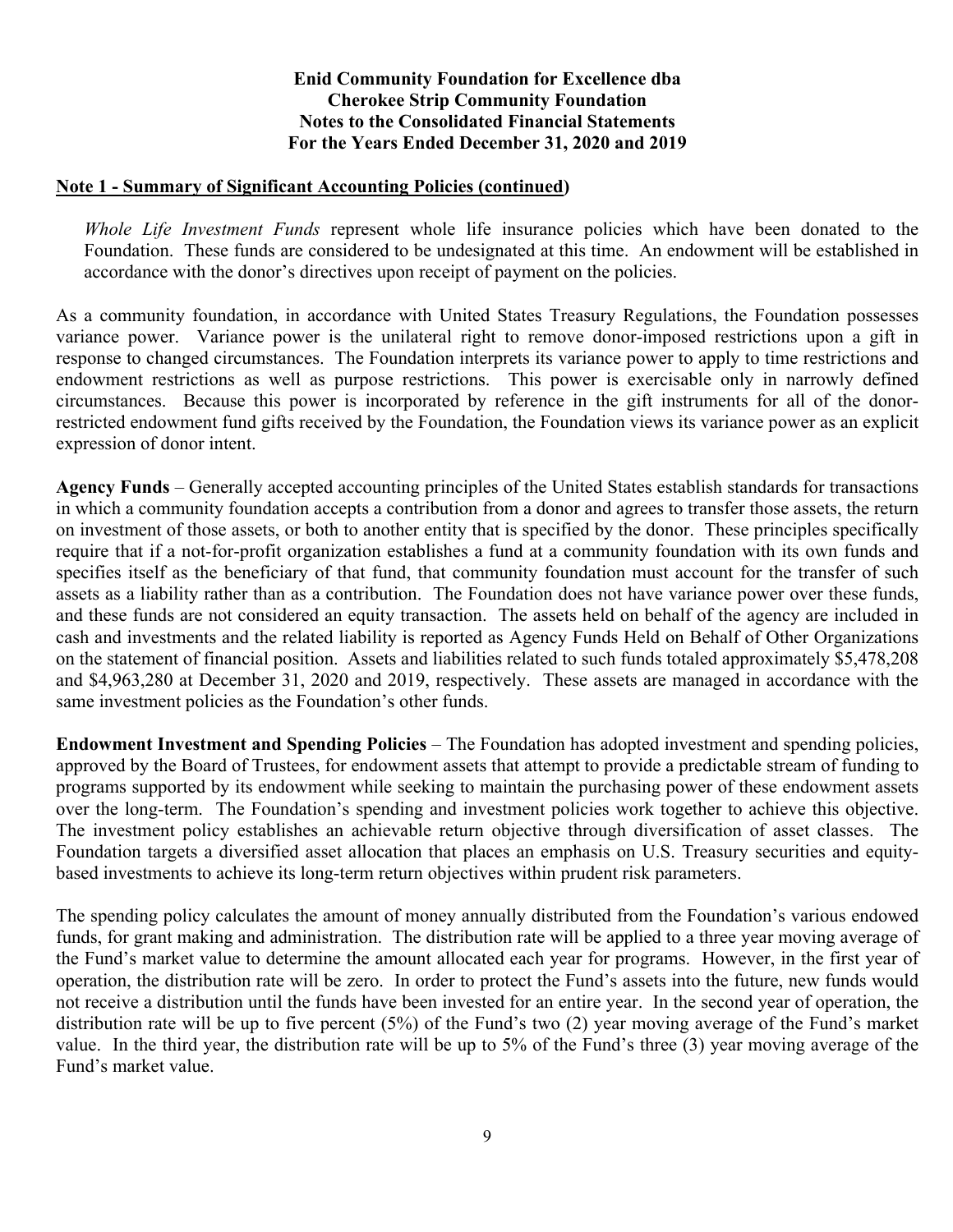## **Note 1 - Summary of Significant Accounting Policies (continued)**

*Whole Life Investment Funds* represent whole life insurance policies which have been donated to the Foundation. These funds are considered to be undesignated at this time. An endowment will be established in accordance with the donor's directives upon receipt of payment on the policies.

As a community foundation, in accordance with United States Treasury Regulations, the Foundation possesses variance power. Variance power is the unilateral right to remove donor-imposed restrictions upon a gift in response to changed circumstances. The Foundation interprets its variance power to apply to time restrictions and endowment restrictions as well as purpose restrictions. This power is exercisable only in narrowly defined circumstances. Because this power is incorporated by reference in the gift instruments for all of the donorrestricted endowment fund gifts received by the Foundation, the Foundation views its variance power as an explicit expression of donor intent.

**Agency Funds** – Generally accepted accounting principles of the United States establish standards for transactions in which a community foundation accepts a contribution from a donor and agrees to transfer those assets, the return on investment of those assets, or both to another entity that is specified by the donor. These principles specifically require that if a not-for-profit organization establishes a fund at a community foundation with its own funds and specifies itself as the beneficiary of that fund, that community foundation must account for the transfer of such assets as a liability rather than as a contribution. The Foundation does not have variance power over these funds, and these funds are not considered an equity transaction. The assets held on behalf of the agency are included in cash and investments and the related liability is reported as Agency Funds Held on Behalf of Other Organizations on the statement of financial position. Assets and liabilities related to such funds totaled approximately \$5,478,208 and \$4,963,280 at December 31, 2020 and 2019, respectively. These assets are managed in accordance with the same investment policies as the Foundation's other funds.

**Endowment Investment and Spending Policies** – The Foundation has adopted investment and spending policies, approved by the Board of Trustees, for endowment assets that attempt to provide a predictable stream of funding to programs supported by its endowment while seeking to maintain the purchasing power of these endowment assets over the long-term. The Foundation's spending and investment policies work together to achieve this objective. The investment policy establishes an achievable return objective through diversification of asset classes. The Foundation targets a diversified asset allocation that places an emphasis on U.S. Treasury securities and equitybased investments to achieve its long-term return objectives within prudent risk parameters.

The spending policy calculates the amount of money annually distributed from the Foundation's various endowed funds, for grant making and administration. The distribution rate will be applied to a three year moving average of the Fund's market value to determine the amount allocated each year for programs. However, in the first year of operation, the distribution rate will be zero. In order to protect the Fund's assets into the future, new funds would not receive a distribution until the funds have been invested for an entire year. In the second year of operation, the distribution rate will be up to five percent (5%) of the Fund's two (2) year moving average of the Fund's market value. In the third year, the distribution rate will be up to 5% of the Fund's three (3) year moving average of the Fund's market value.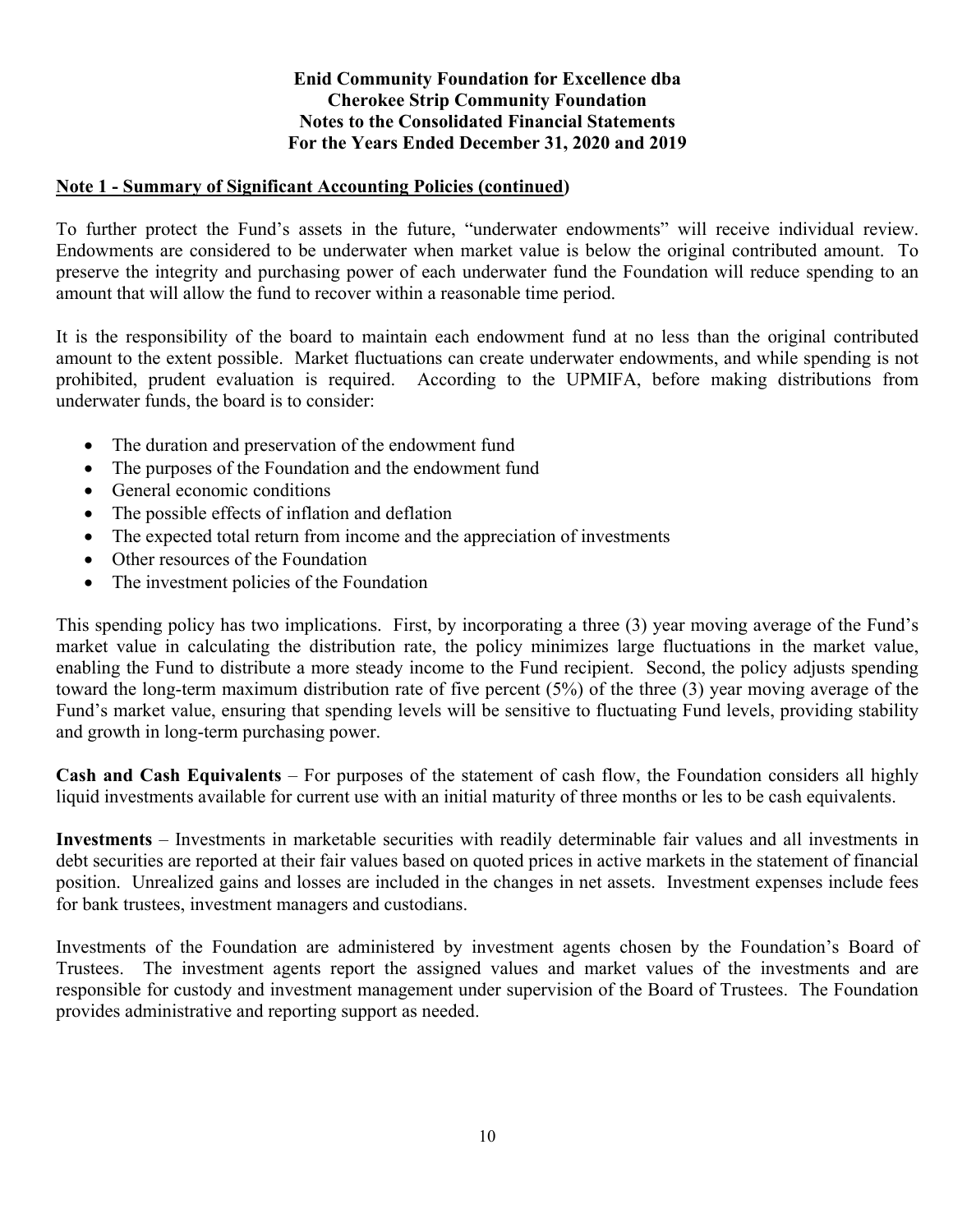## **Note 1 - Summary of Significant Accounting Policies (continued)**

To further protect the Fund's assets in the future, "underwater endowments" will receive individual review. Endowments are considered to be underwater when market value is below the original contributed amount. To preserve the integrity and purchasing power of each underwater fund the Foundation will reduce spending to an amount that will allow the fund to recover within a reasonable time period.

It is the responsibility of the board to maintain each endowment fund at no less than the original contributed amount to the extent possible. Market fluctuations can create underwater endowments, and while spending is not prohibited, prudent evaluation is required. According to the UPMIFA, before making distributions from underwater funds, the board is to consider:

- The duration and preservation of the endowment fund
- The purposes of the Foundation and the endowment fund
- General economic conditions
- The possible effects of inflation and deflation
- The expected total return from income and the appreciation of investments
- Other resources of the Foundation
- The investment policies of the Foundation

This spending policy has two implications. First, by incorporating a three (3) year moving average of the Fund's market value in calculating the distribution rate, the policy minimizes large fluctuations in the market value, enabling the Fund to distribute a more steady income to the Fund recipient. Second, the policy adjusts spending toward the long-term maximum distribution rate of five percent (5%) of the three (3) year moving average of the Fund's market value, ensuring that spending levels will be sensitive to fluctuating Fund levels, providing stability and growth in long-term purchasing power.

**Cash and Cash Equivalents** – For purposes of the statement of cash flow, the Foundation considers all highly liquid investments available for current use with an initial maturity of three months or les to be cash equivalents.

**Investments** – Investments in marketable securities with readily determinable fair values and all investments in debt securities are reported at their fair values based on quoted prices in active markets in the statement of financial position. Unrealized gains and losses are included in the changes in net assets. Investment expenses include fees for bank trustees, investment managers and custodians.

Investments of the Foundation are administered by investment agents chosen by the Foundation's Board of Trustees. The investment agents report the assigned values and market values of the investments and are responsible for custody and investment management under supervision of the Board of Trustees. The Foundation provides administrative and reporting support as needed.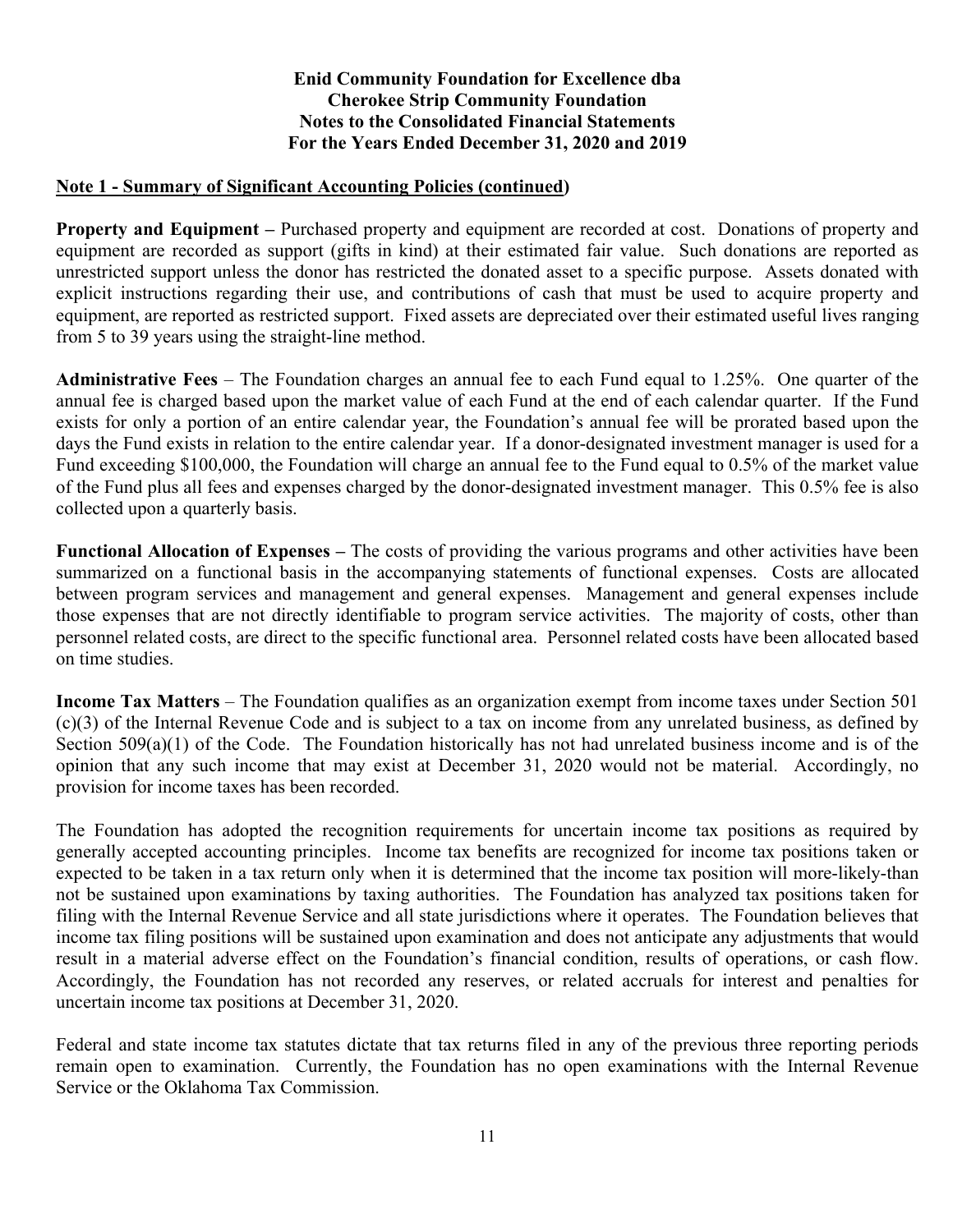## **Note 1 - Summary of Significant Accounting Policies (continued)**

**Property and Equipment –** Purchased property and equipment are recorded at cost. Donations of property and equipment are recorded as support (gifts in kind) at their estimated fair value. Such donations are reported as unrestricted support unless the donor has restricted the donated asset to a specific purpose. Assets donated with explicit instructions regarding their use, and contributions of cash that must be used to acquire property and equipment, are reported as restricted support. Fixed assets are depreciated over their estimated useful lives ranging from 5 to 39 years using the straight-line method.

**Administrative Fees** – The Foundation charges an annual fee to each Fund equal to 1.25%. One quarter of the annual fee is charged based upon the market value of each Fund at the end of each calendar quarter. If the Fund exists for only a portion of an entire calendar year, the Foundation's annual fee will be prorated based upon the days the Fund exists in relation to the entire calendar year. If a donor-designated investment manager is used for a Fund exceeding \$100,000, the Foundation will charge an annual fee to the Fund equal to 0.5% of the market value of the Fund plus all fees and expenses charged by the donor-designated investment manager. This 0.5% fee is also collected upon a quarterly basis.

**Functional Allocation of Expenses –** The costs of providing the various programs and other activities have been summarized on a functional basis in the accompanying statements of functional expenses. Costs are allocated between program services and management and general expenses. Management and general expenses include those expenses that are not directly identifiable to program service activities. The majority of costs, other than personnel related costs, are direct to the specific functional area. Personnel related costs have been allocated based on time studies.

**Income Tax Matters** – The Foundation qualifies as an organization exempt from income taxes under Section 501 (c)(3) of the Internal Revenue Code and is subject to a tax on income from any unrelated business, as defined by Section 509(a)(1) of the Code. The Foundation historically has not had unrelated business income and is of the opinion that any such income that may exist at December 31, 2020 would not be material. Accordingly, no provision for income taxes has been recorded.

The Foundation has adopted the recognition requirements for uncertain income tax positions as required by generally accepted accounting principles. Income tax benefits are recognized for income tax positions taken or expected to be taken in a tax return only when it is determined that the income tax position will more-likely-than not be sustained upon examinations by taxing authorities. The Foundation has analyzed tax positions taken for filing with the Internal Revenue Service and all state jurisdictions where it operates. The Foundation believes that income tax filing positions will be sustained upon examination and does not anticipate any adjustments that would result in a material adverse effect on the Foundation's financial condition, results of operations, or cash flow. Accordingly, the Foundation has not recorded any reserves, or related accruals for interest and penalties for uncertain income tax positions at December 31, 2020.

Federal and state income tax statutes dictate that tax returns filed in any of the previous three reporting periods remain open to examination. Currently, the Foundation has no open examinations with the Internal Revenue Service or the Oklahoma Tax Commission.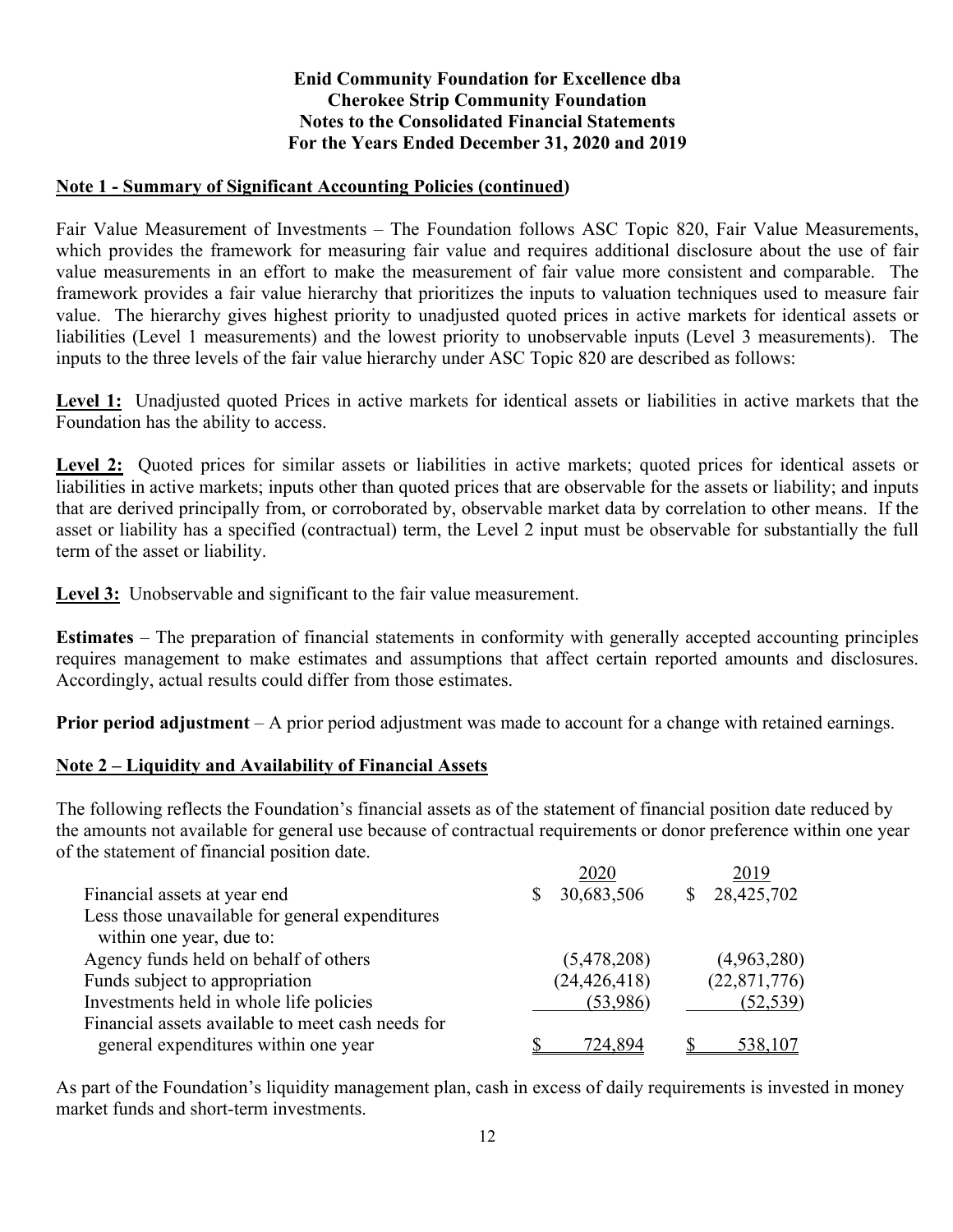## **Note 1 - Summary of Significant Accounting Policies (continued)**

Fair Value Measurement of Investments – The Foundation follows ASC Topic 820, Fair Value Measurements, which provides the framework for measuring fair value and requires additional disclosure about the use of fair value measurements in an effort to make the measurement of fair value more consistent and comparable. The framework provides a fair value hierarchy that prioritizes the inputs to valuation techniques used to measure fair value. The hierarchy gives highest priority to unadjusted quoted prices in active markets for identical assets or liabilities (Level 1 measurements) and the lowest priority to unobservable inputs (Level 3 measurements). The inputs to the three levels of the fair value hierarchy under ASC Topic 820 are described as follows:

**Level 1:** Unadjusted quoted Prices in active markets for identical assets or liabilities in active markets that the Foundation has the ability to access.

**Level 2:** Quoted prices for similar assets or liabilities in active markets; quoted prices for identical assets or liabilities in active markets; inputs other than quoted prices that are observable for the assets or liability; and inputs that are derived principally from, or corroborated by, observable market data by correlation to other means. If the asset or liability has a specified (contractual) term, the Level 2 input must be observable for substantially the full term of the asset or liability.

**Level 3:** Unobservable and significant to the fair value measurement.

**Estimates** – The preparation of financial statements in conformity with generally accepted accounting principles requires management to make estimates and assumptions that affect certain reported amounts and disclosures. Accordingly, actual results could differ from those estimates.

**Prior period adjustment** – A prior period adjustment was made to account for a change with retained earnings.

# **Note 2 – Liquidity and Availability of Financial Assets**

The following reflects the Foundation's financial assets as of the statement of financial position date reduced by the amounts not available for general use because of contractual requirements or donor preference within one year of the statement of financial position date.

|                                                   | 2020           | 2019         |
|---------------------------------------------------|----------------|--------------|
| Financial assets at year end                      | 30,683,506     | 28,425,702   |
| Less those unavailable for general expenditures   |                |              |
| within one year, due to:                          |                |              |
| Agency funds held on behalf of others             | (5,478,208)    | (4,963,280)  |
| Funds subject to appropriation                    | (24, 426, 418) | (22,871,776) |
| Investments held in whole life policies           | (53,986)       | (52, 539)    |
| Financial assets available to meet cash needs for |                |              |
| general expenditures within one year              | 724.894        | 538.         |
|                                                   |                |              |

As part of the Foundation's liquidity management plan, cash in excess of daily requirements is invested in money market funds and short-term investments.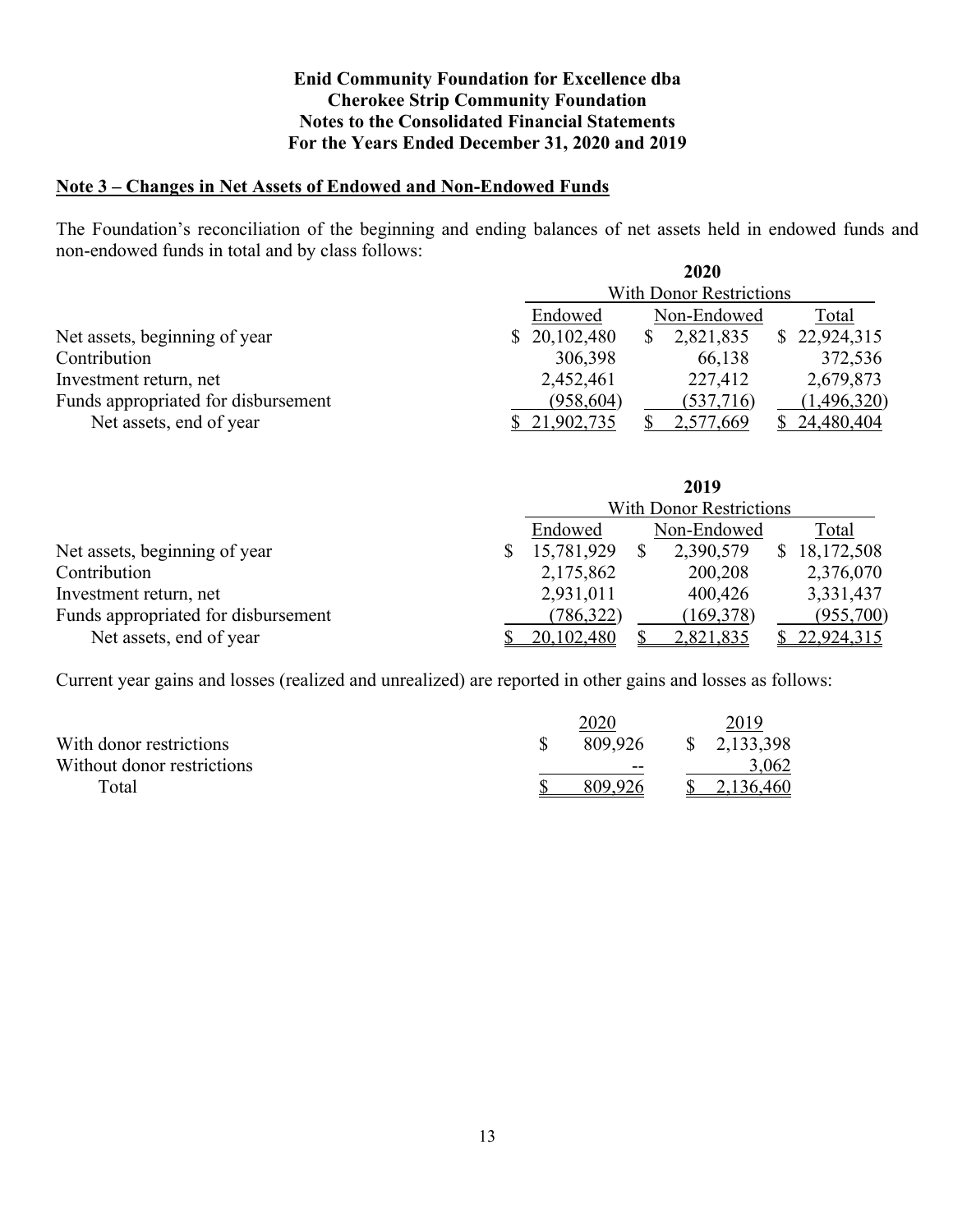# **Note 3 – Changes in Net Assets of Endowed and Non-Endowed Funds**

The Foundation's reconciliation of the beginning and ending balances of net assets held in endowed funds and non-endowed funds in total and by class follows: **2020** 

|                                     |                  | 2020                           |              |  |  |  |  |  |
|-------------------------------------|------------------|--------------------------------|--------------|--|--|--|--|--|
|                                     |                  | <b>With Donor Restrictions</b> |              |  |  |  |  |  |
|                                     | Endowed          | Non-Endowed                    | Total        |  |  |  |  |  |
| Net assets, beginning of year       | 20,102,480<br>S. | 2,821,835                      | \$22,924,315 |  |  |  |  |  |
| Contribution                        | 306,398          | 66,138                         | 372,536      |  |  |  |  |  |
| Investment return, net              | 2,452,461        | 227,412                        | 2,679,873    |  |  |  |  |  |
| Funds appropriated for disbursement | (958, 604)       | (537,716)                      | (1,496,320)  |  |  |  |  |  |
| Net assets, end of year             | \$21,902,735     | 2,577,669                      | \$24,480,404 |  |  |  |  |  |

|                                     | 2019                           |  |             |  |              |  |  |
|-------------------------------------|--------------------------------|--|-------------|--|--------------|--|--|
|                                     | <b>With Donor Restrictions</b> |  |             |  |              |  |  |
|                                     | Endowed                        |  | Non-Endowed |  | Total        |  |  |
| Net assets, beginning of year       | 15,781,929                     |  | 2,390,579   |  | \$18,172,508 |  |  |
| Contribution                        | 2,175,862                      |  | 200,208     |  | 2,376,070    |  |  |
| Investment return, net              | 2,931,011                      |  | 400,426     |  | 3,331,437    |  |  |
| Funds appropriated for disbursement | (786, 322)                     |  | (169, 378)  |  | (955,700)    |  |  |
| Net assets, end of year             | 20,102,480                     |  | 2,821,835   |  | 22,924,315   |  |  |

Current year gains and losses (realized and unrealized) are reported in other gains and losses as follows:

|                            | 2020    | 2019      |
|----------------------------|---------|-----------|
| With donor restrictions    | 809,926 | 2,133,398 |
| Without donor restrictions | $- -$   | 3,062     |
| Total                      | 809.926 | 2,136,460 |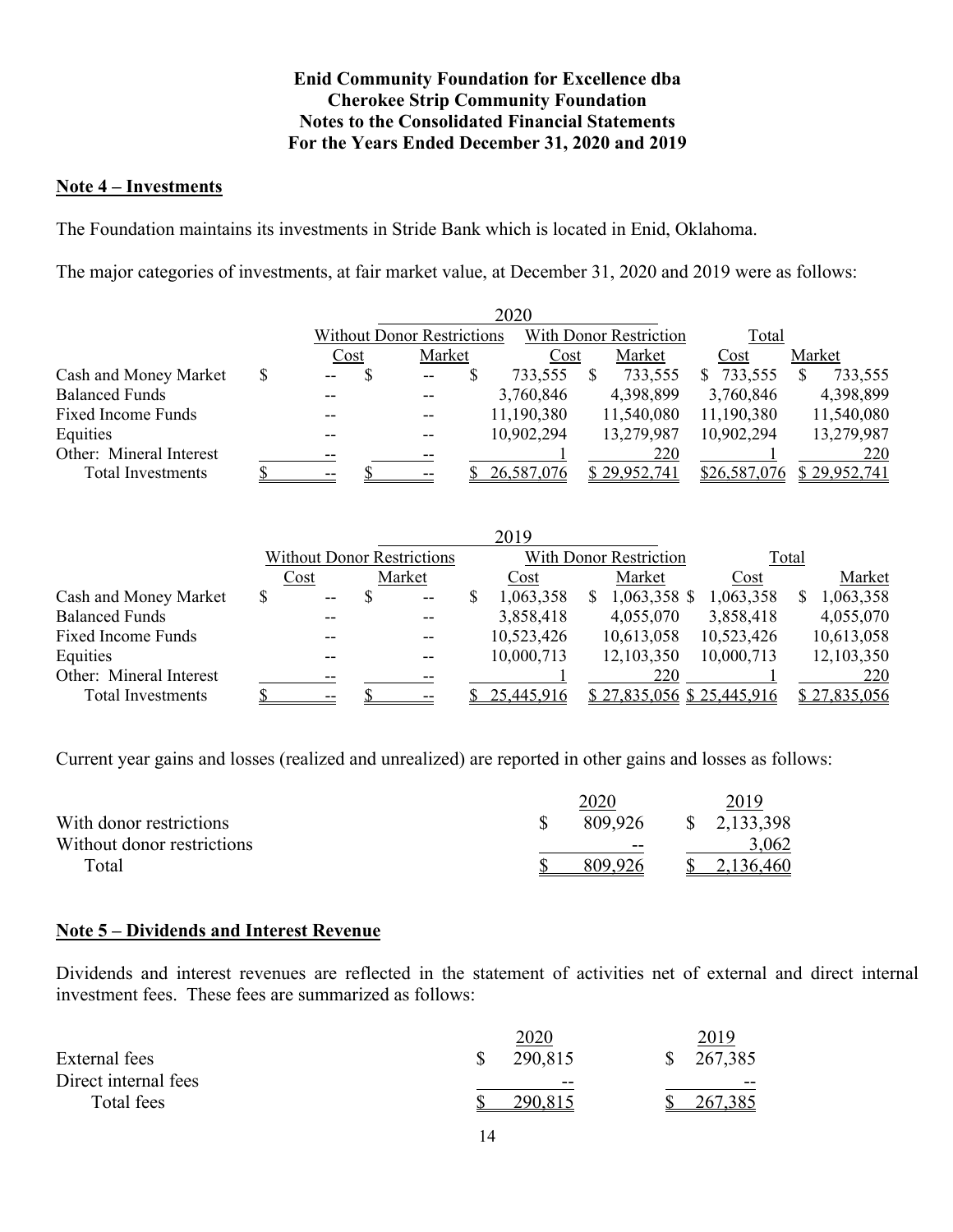#### **Note 4 – Investments**

The Foundation maintains its investments in Stride Bank which is located in Enid, Oklahoma.

The major categories of investments, at fair market value, at December 31, 2020 and 2019 were as follows:

|                           |       |                                                                    |        |  | 2020       |  |              |               |              |  |  |
|---------------------------|-------|--------------------------------------------------------------------|--------|--|------------|--|--------------|---------------|--------------|--|--|
|                           |       | <b>With Donor Restriction</b><br><b>Without Donor Restrictions</b> |        |  |            |  |              |               | Total        |  |  |
|                           | Cost  |                                                                    | Market |  | Cost       |  | Market       | Cost          | Market       |  |  |
| Cash and Money Market     | $- -$ |                                                                    | --     |  | 733,555    |  | 733,555      | 733,555<br>S. | 733,555      |  |  |
| <b>Balanced Funds</b>     |       |                                                                    |        |  | 3,760,846  |  | 4,398,899    | 3,760,846     | 4,398,899    |  |  |
| <b>Fixed Income Funds</b> | --    |                                                                    | --     |  | 11,190,380 |  | 11,540,080   | 11,190,380    | 11,540,080   |  |  |
| Equities                  | --    |                                                                    |        |  | 10,902,294 |  | 13,279,987   | 10,902,294    | 13,279,987   |  |  |
| Other: Mineral Interest   | $-$   |                                                                    |        |  |            |  | 220          |               | 220          |  |  |
| <b>Total Investments</b>  | $- -$ |                                                                    |        |  | 26,587,076 |  | \$29,952,741 | \$26,587,076  | \$29,952,741 |  |  |

|                          |   |                                   |        | 2019       |                               |                |                             |  |              |
|--------------------------|---|-----------------------------------|--------|------------|-------------------------------|----------------|-----------------------------|--|--------------|
|                          |   | <b>Without Donor Restrictions</b> |        |            | <b>With Donor Restriction</b> |                | Total                       |  |              |
|                          |   | Cost                              | Market | Cost       |                               | Market         | Cost                        |  | Market       |
| Cash and Money Market    | S | $- -$                             | --     | 1,063,358  |                               | $1,063,358$ \$ | 1,063,358                   |  | 1,063,358    |
| <b>Balanced Funds</b>    |   | $- -$                             |        | 3,858,418  |                               | 4,055,070      | 3,858,418                   |  | 4,055,070    |
| Fixed Income Funds       |   | --                                |        | 10,523,426 |                               | 10,613,058     | 10,523,426                  |  | 10,613,058   |
| Equities                 |   |                                   |        | 10,000,713 |                               | 12,103,350     | 10,000,713                  |  | 12,103,350   |
| Other: Mineral Interest  |   |                                   |        |            |                               | 220            |                             |  | 220          |
| <b>Total Investments</b> |   |                                   |        | 25,445,916 |                               |                | $$27,835,056$ $$25,445,916$ |  | \$27,835,056 |

Current year gains and losses (realized and unrealized) are reported in other gains and losses as follows:

|                            | 2020    |           |
|----------------------------|---------|-----------|
| With donor restrictions    | 809.926 | 2,133,398 |
| Without donor restrictions | $-$     | 3,062     |
| Total                      | 809.926 | 2,136,460 |

#### **Note 5 – Dividends and Interest Revenue**

Dividends and interest revenues are reflected in the statement of activities net of external and direct internal investment fees. These fees are summarized as follows:

|                      | 2020    | <u> 2019 </u> |
|----------------------|---------|---------------|
| External fees        | 290,815 | 267,385       |
| Direct internal fees | --      | --            |
| Total fees           | 290.815 | '385.         |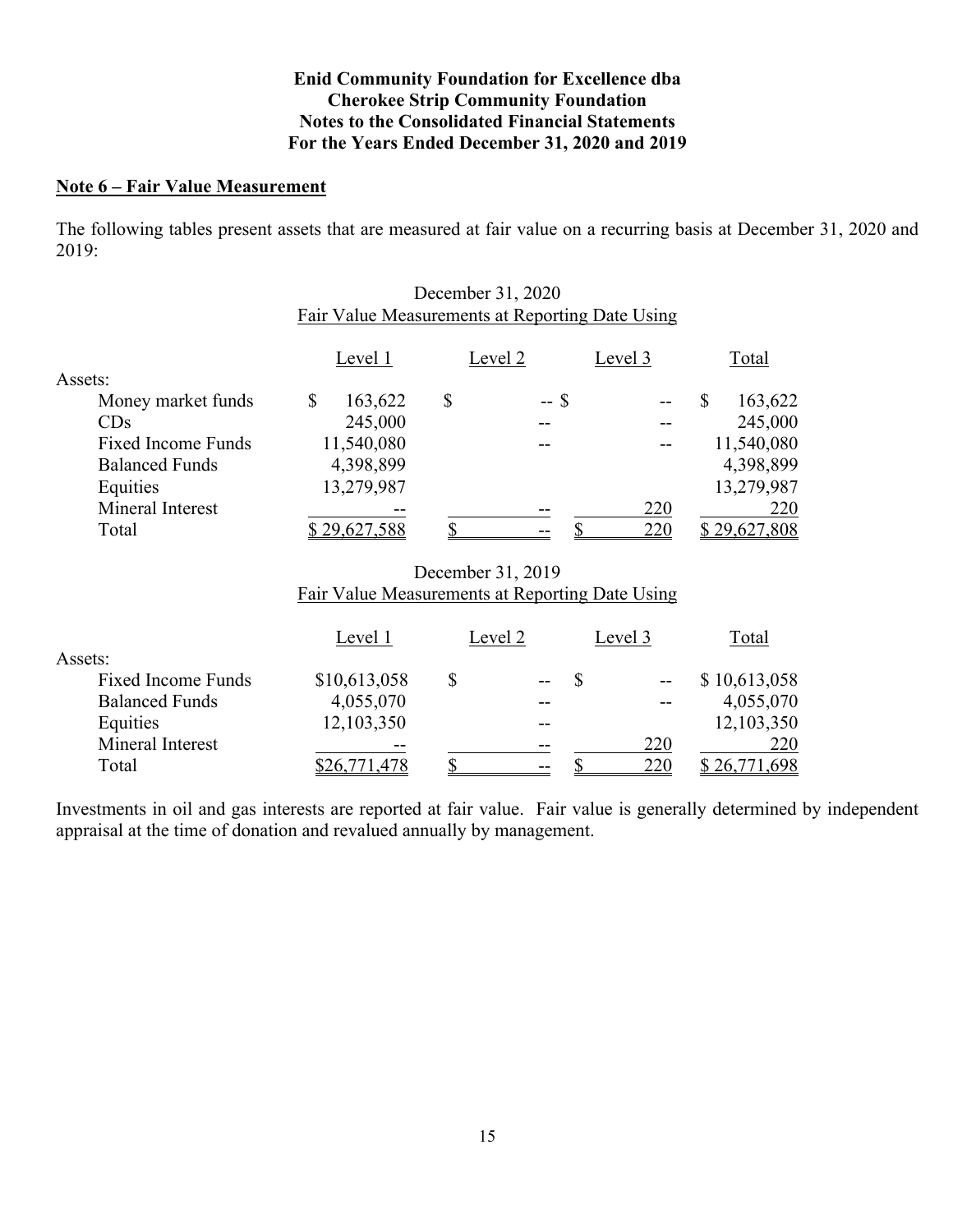## **Note 6 – Fair Value Measurement**

The following tables present assets that are measured at fair value on a recurring basis at December 31, 2020 and 2019:

|                           |               | December 31, 2020                               |         |              |
|---------------------------|---------------|-------------------------------------------------|---------|--------------|
|                           |               | Fair Value Measurements at Reporting Date Using |         |              |
|                           | Level 1       | Level 2                                         | Level 3 | Total        |
| Assets:                   |               |                                                 |         |              |
| Money market funds        | \$<br>163,622 | \$<br>$-$ \$                                    |         | 163,622<br>S |
| CDs                       | 245,000       |                                                 |         | 245,000      |
| <b>Fixed Income Funds</b> | 11,540,080    |                                                 |         | 11,540,080   |
| <b>Balanced Funds</b>     | 4,398,899     |                                                 |         | 4,398,899    |
| Equities                  | 13,279,987    |                                                 |         | 13,279,987   |
| Mineral Interest          |               |                                                 | 220     | 220          |
| Total                     |               |                                                 | 220     | \$29,627,808 |

# December 31, 2019 Fair Value Measurements at Reporting Date Using

|                           | Level 1      | Level 2 |       |   | Level 3 | Total        |
|---------------------------|--------------|---------|-------|---|---------|--------------|
| Assets:                   |              |         |       |   |         |              |
| <b>Fixed Income Funds</b> | \$10,613,058 |         | $-$   | S |         | \$10,613,058 |
| <b>Balanced Funds</b>     | 4,055,070    |         |       |   |         | 4,055,070    |
| Equities                  | 12,103,350   |         |       |   |         | 12,103,350   |
| Mineral Interest          | $- -$        |         |       |   | 220     | 220          |
| Total                     |              |         | $- -$ |   | 220     |              |

Investments in oil and gas interests are reported at fair value. Fair value is generally determined by independent appraisal at the time of donation and revalued annually by management.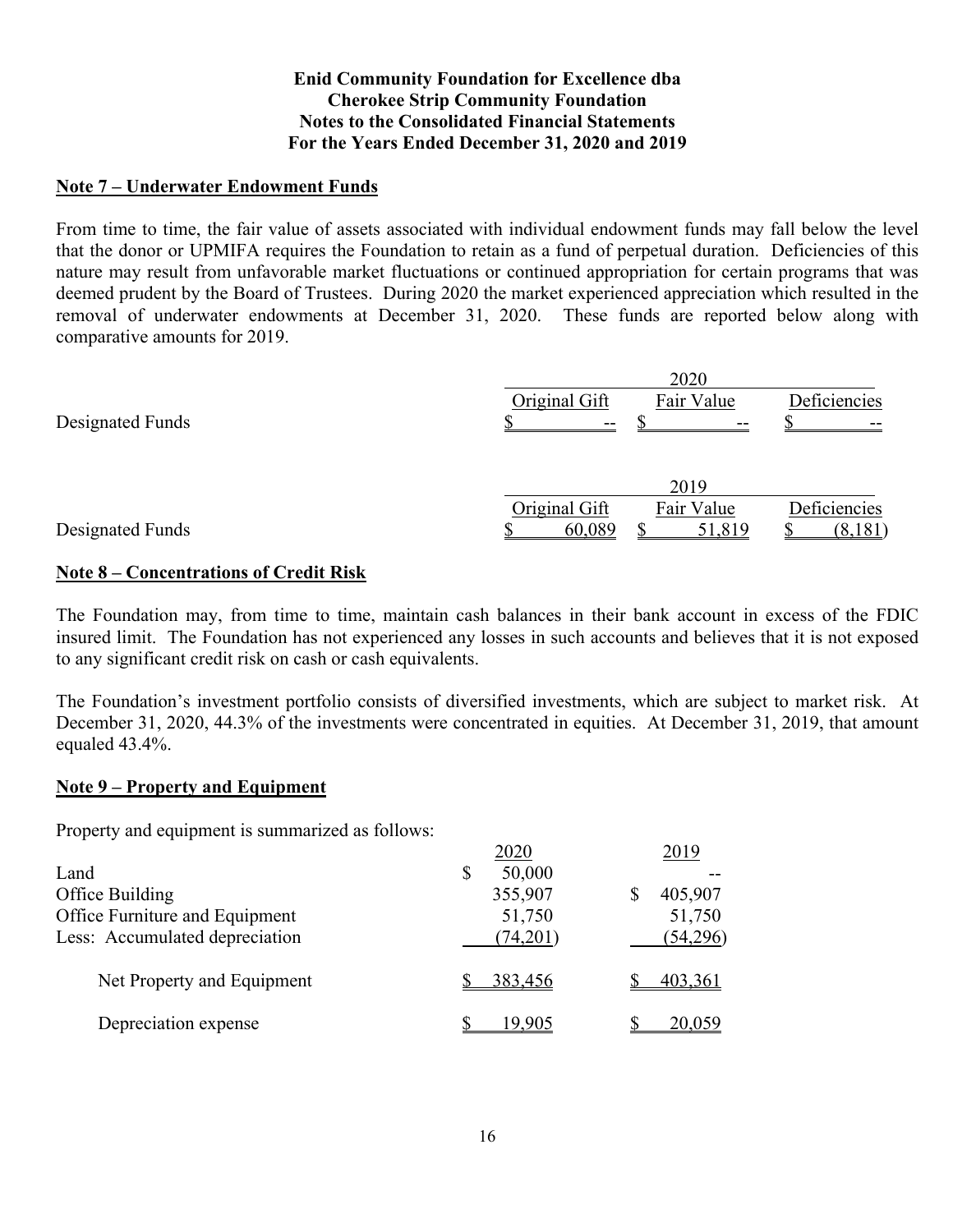## **Note 7 – Underwater Endowment Funds**

From time to time, the fair value of assets associated with individual endowment funds may fall below the level that the donor or UPMIFA requires the Foundation to retain as a fund of perpetual duration. Deficiencies of this nature may result from unfavorable market fluctuations or continued appropriation for certain programs that was deemed prudent by the Board of Trustees. During 2020 the market experienced appreciation which resulted in the removal of underwater endowments at December 31, 2020. These funds are reported below along with comparative amounts for 2019.

|                  |               | 2020       |              |  |  |
|------------------|---------------|------------|--------------|--|--|
|                  | Original Gift | Fair Value | Deficiencies |  |  |
| Designated Funds | $- -$         | $- -$      |              |  |  |
|                  |               | 2019       |              |  |  |
|                  | Original Gift | Fair Value | Deficiencies |  |  |
| Designated Funds | 60,089        | 51.819     | (8,181)      |  |  |

#### **Note 8 – Concentrations of Credit Risk**

The Foundation may, from time to time, maintain cash balances in their bank account in excess of the FDIC insured limit. The Foundation has not experienced any losses in such accounts and believes that it is not exposed to any significant credit risk on cash or cash equivalents.

The Foundation's investment portfolio consists of diversified investments, which are subject to market risk. At December 31, 2020, 44.3% of the investments were concentrated in equities. At December 31, 2019, that amount equaled 43.4%.

## **Note 9 – Property and Equipment**

Property and equipment is summarized as follows:

|                                | 2020         | 2019     |
|--------------------------------|--------------|----------|
| Land                           | 50,000<br>\$ |          |
| Office Building                | 355,907      | 405,907  |
| Office Furniture and Equipment | 51,750       | 51,750   |
| Less: Accumulated depreciation | (74,201)     | (54,296) |
| Net Property and Equipment     | 383,456      | 403,361  |
| Depreciation expense           |              |          |